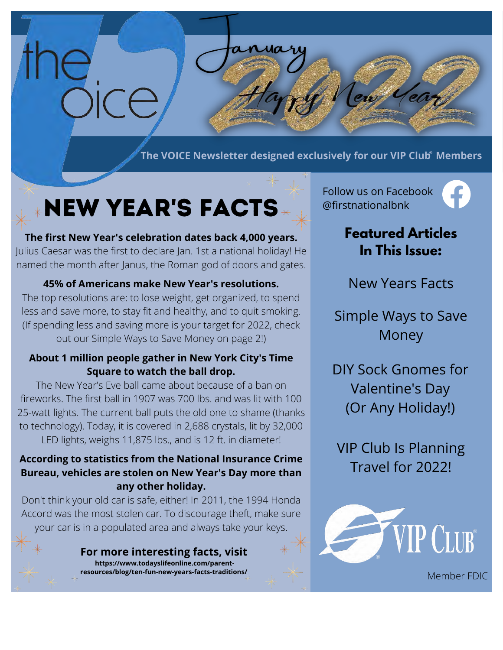**The VOICE Newsletter designed exclusively for our VIP Club<sup>®</sup> Members** 

# New Year's Facts

**The first New Year's celebration dates back 4,000 years.** Julius Caesar was the first to declare Jan. 1st a national holiday! He named the month after Janus, the Roman god of doors and gates.

### **45% of Americans make New Year's resolutions.**

The top resolutions are: to lose weight, get organized, to spend less and save more, to stay fit and healthy, and to quit smoking. (If spending less and saving more is your target for 2022, check out our Simple Ways to Save Money on page 2!)

#### **About 1 million people gather in New York City's Time Square to watch the ball drop.**

The New Year's Eve ball came about because of a ban on fireworks. The first ball in 1907 was 700 lbs. and was lit with 100 25-watt lights. The current ball puts the old one to shame (thanks to technology). Today, it is covered in 2,688 crystals, lit by 32,000 LED lights, weighs 11,875 lbs., and is 12 ft. in diameter!

### **According to statistics from the National Insurance Crime Bureau, vehicles are stolen on New Year's Day more than any other holiday.**

Don't think your old car is safe, either! In 2011, the 1994 Honda Accord was the most stolen car. To discourage theft, make sure your car is in a populated area and always take your keys.

> **For more interesting facts, visit https://www.todayslifeonline.com/parentresources/blog/ten-fun-new-years-facts-traditions/**

Follow us on Facebook @firstnationalbnk

 $\mathcal{C}_{22}$ 



### **Featured Articles In This Issue:**

New Years Facts

Simple Ways to Save Money

DIY Sock Gnomes for Valentine's Day (Or Any Holiday!)

VIP Club Is Planning Travel for 2022!

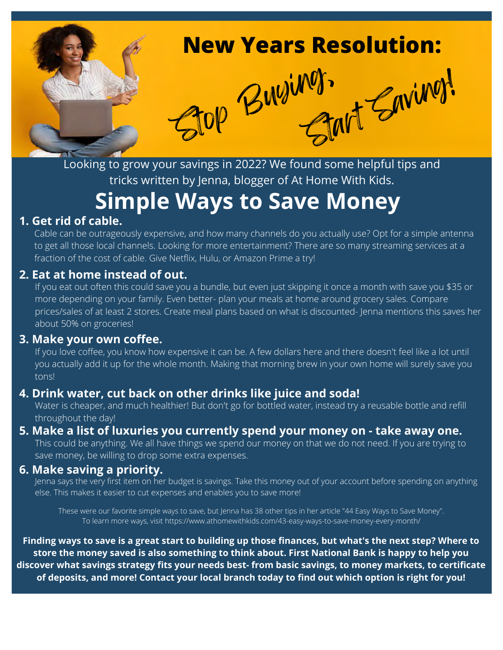

Looking to grow your savings in 2022? We found some helpful tips and tricks written by Jenna, blogger of At Home With Kids.

### **Simple Ways to Save Money**

### **1. Get rid of cable.**

Cable can be outrageously expensive, and how many channels do you actually use? Opt for a simple antenna to get all those local channels. Looking for more entertainment? There are so many streaming services at a fraction of the cost of cable. Give Netflix, Hulu, or Amazon Prime a try!

### **2. Eat at home instead of out.**

If you eat out often this could save you a bundle, but even just skipping it once a month with save you \$35 or more depending on your family. Even better- plan your meals at home around grocery sales. Compare prices/sales of at least 2 stores. Create meal plans based on what is discounted- Jenna mentions this saves her about 50% on groceries!

#### **3. Make your own coffee.**

If you love coffee, you know how expensive it can be. A few dollars here and there doesn't feel like a lot until you actually add it up for the whole month. Making that morning brew in your own home will surely save you tons!

### **4. Drink water, cut back on other drinks like juice and soda!**

Water is cheaper, and much healthier! But don't go for bottled water, instead try a reusable bottle and refill throughout the day!

### **5. Make a list of luxuries you currently spend your money on - take away one.**

This could be anything. We all have things we spend our money on that we do not need. If you are trying to save money, be willing to drop some extra expenses.

#### **6. Make saving a priority.**

Jenna says the very first item on her budget is savings. Take this money out of your account before spending on anything else. This makes it easier to cut expenses and enables you to save more!

These were our favorite simple ways to save, but Jenna has 38 other tips in her article "44 Easy Ways to Save Money". To learn more ways, visit https://www.athomewithkids.com/43-easy-ways-to-save-money-every-month/

**Finding ways to save is a great start to building up those finances, but what's the next step? Where to store the money saved is also something to think about. First National Bank is happy to help you discover what savings strategy fits your needs best- from basic savings, to money markets, to certificate of deposits, and more! Contact your local branch today to find out which option is right for you!**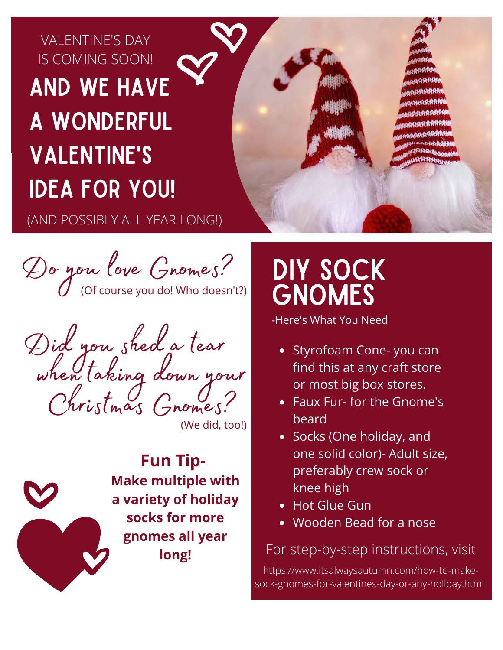## VALENTINE'S DAY IS COMING SOON! aND WE HAVE a WONDERFUL VALENTINE'S IDEA FOR YOU!

(AND POSSIBLY ALL YEAR LONG!)

Do you love Gnomes?

Did you shed a tear when taking down your Christmas Gnomes?

(We did, too!)

**Fun Tip-Make multiple with a variety of holiday socks for more gnomes all year long!**

# DIY Sock **GNOMES**

-Here's What You Need

- Styrofoam Cone- you can find this at any craft store or most big box stores.
- Faux Fur- for the Gnome's beard
- Socks (One holiday, and one solid color)- Adult size, preferably crew sock or knee high
- Hot Glue Gun
- Wooden Bead for a nose

### For step-by-step instructions, visit

https://www.itsalwaysautumn.com/how-to-makesock-gnomes-for-valentines-day-or-any-holiday.html